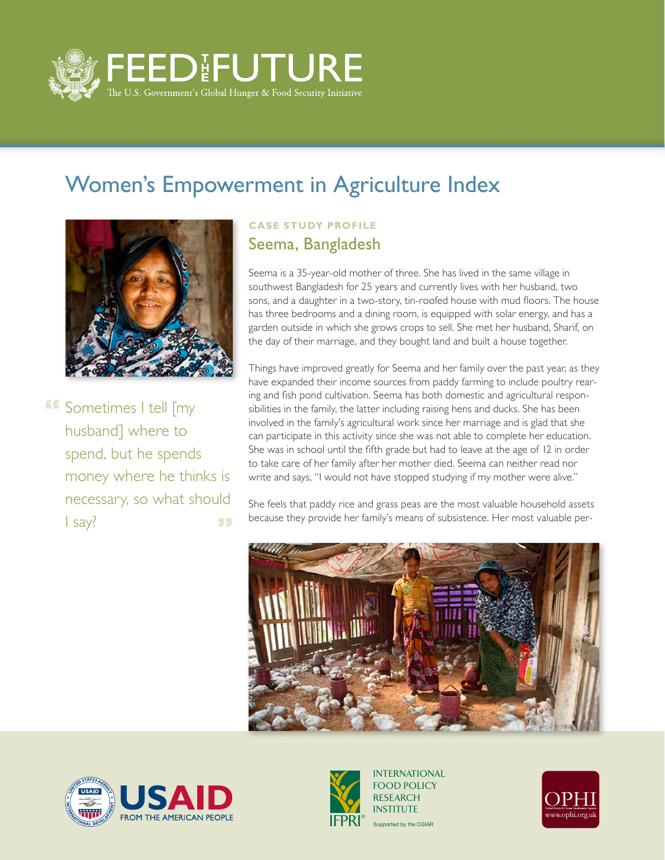

## Women's Empowerment in Agriculture Index



**ff** Sometimes I tell [my husband] where to spend, but he spends money where he thinks is necessary, so what should I say? 55

## **Case Study Profile** Seema, Bangladesh

Seema is a 35-year-old mother of three. She has lived in the same village in southwest Bangladesh for 25 years and currently lives with her husband, two sons, and a daughter in a two-story, tin-roofed house with mud floors. The house has three bedrooms and a dining room, is equipped with solar energy, and has a garden outside in which she grows crops to sell. She met her husband, Sharif, on the day of their marriage, and they bought land and built a house together.

Things have improved greatly for Seema and her family over the past year, as they have expanded their income sources from paddy farming to include poultry rearing and fish pond cultivation. Seema has both domestic and agricultural responsibilities in the family, the latter including raising hens and ducks. She has been involved in the family's agricultural work since her marriage and is glad that she can participate in this activity since she was not able to complete her education. She was in school until the fifth grade but had to leave at the age of 12 in order to take care of her family after her mother died. Seema can neither read nor write and says, "I would not have stopped studying if my mother were alive."

She feels that paddy rice and grass peas are the most valuable household assets because they provide her family's means of subsistence. Her most valuable per-







Supported by the CGIAR INTERNATIONAL FOOD POLICY RESEARCH **INSTITUTE**